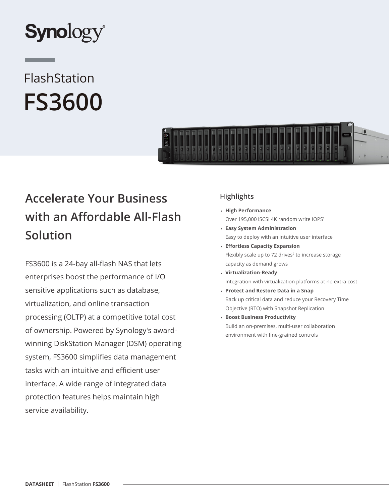

# FlashStation **FS3600**



# **Accelerate Your Business with an Affordable All-Flash Solution**

FS3600 is a 24-bay all-flash NAS that lets enterprises boost the performance of I/O sensitive applications such as database, virtualization, and online transaction processing (OLTP) at a competitive total cost of ownership. Powered by Synology's awardwinning DiskStation Manager (DSM) operating system, FS3600 simplifies data management tasks with an intuitive and efficient user interface. A wide range of integrated data protection features helps maintain high service availability.

# **Highlights**

- **High Performance** Over 195,000 iSCSI 4K random write IOPS1
- **Easy System Administration** Easy to deploy with an intuitive user interface
- **Effortless Capacity Expansion** Flexibly scale up to 72 drives<sup>2</sup> to increase storage capacity as demand grows
- **Virtualization-Ready** Integration with virtualization platforms at no extra cost
- **Protect and Restore Data in a Snap** Back up critical data and reduce your Recovery Time Objective (RTO) with Snapshot Replication
- **Boost Business Productivity** Build an on-premises, multi-user collaboration environment with fine-grained controls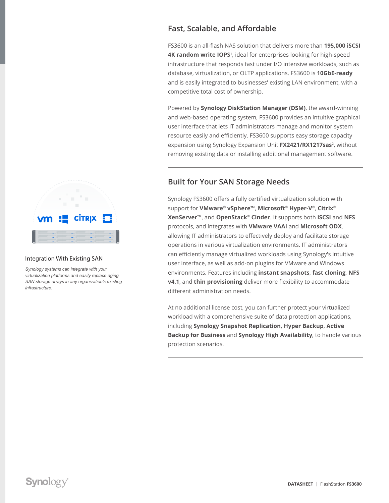# **CİTRIX**

#### Integration With Existing SAN

*Synology systems can integrate with your virtualization platforms and easily replace aging SAN storage arrays in any organization's existing infrastructure.*

# **Fast, Scalable, and Affordable**

FS3600 is an all-flash NAS solution that delivers more than **195,000 iSCSI 4K random write IOPS**<sup>1</sup>, ideal for enterprises looking for high-speed infrastructure that responds fast under I/O intensive workloads, such as database, virtualization, or OLTP applications. FS3600 is **10GbE-ready** and is easily integrated to businesses' existing LAN environment, with a competitive total cost of ownership.

Powered by **Synology DiskStation Manager (DSM)**, the award-winning and web-based operating system, FS3600 provides an intuitive graphical user interface that lets IT administrators manage and monitor system resource easily and efficiently. FS3600 supports easy storage capacity expansion using Synology Expansion Unit **FX2421/RX1217sas**<sup>2</sup>, without removing existing data or installing additional management software.

## **Built for Your SAN Storage Needs**

Synology FS3600 offers a fully certified virtualization solution with support for **VMware**® **vSphere**™, **Microsoft**® **Hyper-V**®, **Citrix**® **XenServer**™, and **OpenStack**® **Cinder**. It supports both **iSCSI** and **NFS** protocols, and integrates with **VMware VAAI** and **Microsoft ODX**, allowing IT administrators to effectively deploy and facilitate storage operations in various virtualization environments. IT administrators can efficiently manage virtualized workloads using Synology's intuitive user interface, as well as add-on plugins for VMware and Windows environments. Features including **instant snapshots**, **fast cloning**, **NFS v4.1**, and **thin provisioning** deliver more flexibility to accommodate different administration needs.

At no additional license cost, you can further protect your virtualized workload with a comprehensive suite of data protection applications, including **Synology Snapshot Replication**, **Hyper Backup**, **Active Backup for Business** and **Synology High Availability**, to handle various protection scenarios.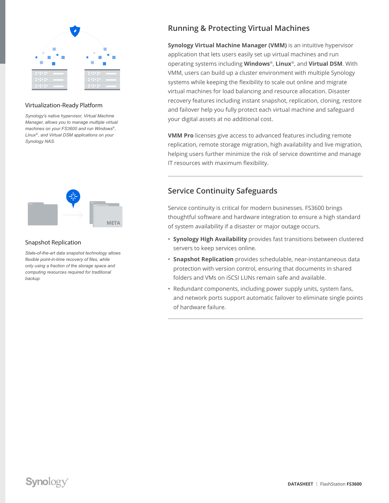

#### Virtualization-Ready Platform

*Synology's native hypervisor, Virtual Machine Manager, allows you to manage multiple virtual machines on your FS3600 and run Windows*®*, Linux*®*, and Virtual DSM applications on your Synology NAS.*



#### Snapshot Replication

*State-of-the-art data snapshot technology allows flexible point-in-time recovery of files, while only using a fraction of the storage space and computing resources required for traditional backup.*

# **Running & Protecting Virtual Machines**

**Synology Virtual Machine Manager (VMM)** is an intuitive hypervisor application that lets users easily set up virtual machines and run operating systems including **Windows**®, **Linux**®, and **Virtual DSM**. With VMM, users can build up a cluster environment with multiple Synology systems while keeping the flexibility to scale out online and migrate virtual machines for load balancing and resource allocation. Disaster recovery features including instant snapshot, replication, cloning, restore and failover help you fully protect each virtual machine and safeguard your digital assets at no additional cost.

**VMM Pro** licenses give access to advanced features including remote replication, remote storage migration, high availability and live migration, helping users further minimize the risk of service downtime and manage IT resources with maximum flexibility.

## **Service Continuity Safeguards**

Service continuity is critical for modern businesses. FS3600 brings thoughtful software and hardware integration to ensure a high standard of system availability if a disaster or major outage occurs.

- **Synology High Availability** provides fast transitions between clustered servers to keep services online.
- **Snapshot Replication** provides schedulable, near-instantaneous data protection with version control, ensuring that documents in shared folders and VMs on iSCSI LUNs remain safe and available.
- Redundant components, including power supply units, system fans, and network ports support automatic failover to eliminate single points of hardware failure.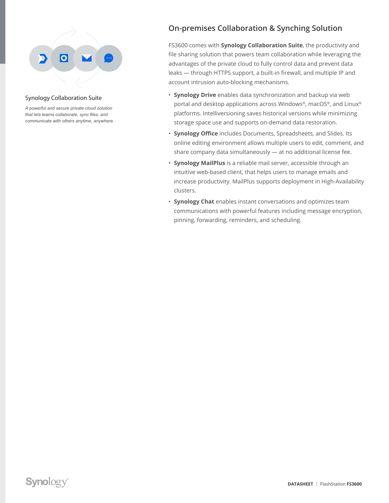

#### Synology Collaboration Suite

*A powerful and secure private cloud solution that lets teams collaborate, sync files, and communicate with others anytime, anywhere.*

# **On-premises Collaboration & Synching Solution**

FS3600 comes with **Synology Collaboration Suite**, the productivity and file sharing solution that powers team collaboration while leveraging the advantages of the private cloud to fully control data and prevent data leaks — through HTTPS support, a built-in firewall, and multiple IP and account intrusion auto-blocking mechanisms.

- **Synology Drive** enables data synchronization and backup via web portal and desktop applications across Windows®, macOS®, and Linux® platforms. Intelliversioning saves historical versions while minimizing storage space use and supports on-demand data restoration.
- **Synology Office** includes Documents, Spreadsheets, and Slides. Its online editing environment allows multiple users to edit, comment, and share company data simultaneously — at no additional license fee.
- **Synology MailPlus** is a reliable mail server, accessible through an intuitive web-based client, that helps users to manage emails and increase productivity. MailPlus supports deployment in High-Availability clusters.
- **Synology Chat** enables instant conversations and optimizes team communications with powerful features including message encryption, pinning, forwarding, reminders, and scheduling.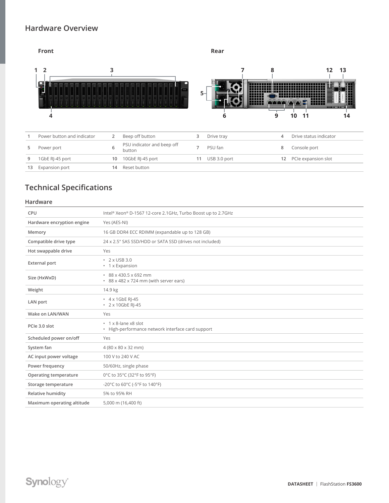### **Hardware Overview**



# **Technical Specifications**

#### **Hardware**

| CPU                        | Intel® Xeon® D-1567 12-core 2.1GHz, Turbo Boost up to 2.7GHz                    |
|----------------------------|---------------------------------------------------------------------------------|
| Hardware encryption engine | Yes (AES-NI)                                                                    |
| Memory                     | 16 GB DDR4 ECC RDIMM (expandable up to 128 GB)                                  |
| Compatible drive type      | 24 x 2.5" SAS SSD/HDD or SATA SSD (drives not included)                         |
| Hot swappable drive        | Yes                                                                             |
| <b>External port</b>       | • 2 x USB 3.0<br>• 1 x Expansion                                                |
| Size (HxWxD)               | $88 \times 430.5 \times 692$ mm<br>* 88 x 482 x 724 mm (with server ears)       |
| Weight                     | 14.9 kg                                                                         |
| LAN port                   | $\cdot$ 4 x 1GbE RI-45<br>• 2 x 10GbE RI-45                                     |
| Wake on LAN/WAN            | Yes                                                                             |
| PCIe 3.0 slot              | $\cdot$ 1 x 8-lane x8 slot<br>• High-performance network interface card support |
| Scheduled power on/off     | Yes                                                                             |
| System fan                 | $4(80 \times 80 \times 32 \text{ mm})$                                          |
| AC input power voltage     | 100 V to 240 V AC                                                               |
| Power frequency            | 50/60Hz, single phase                                                           |
| Operating temperature      | 0°C to 35°C (32°F to 95°F)                                                      |
| Storage temperature        | -20°C to 60°C (-5°F to 140°F)                                                   |
| Relative humidity          | 5% to 95% RH                                                                    |
| Maximum operating altitude | 5,000 m (16,400 ft)                                                             |
|                            |                                                                                 |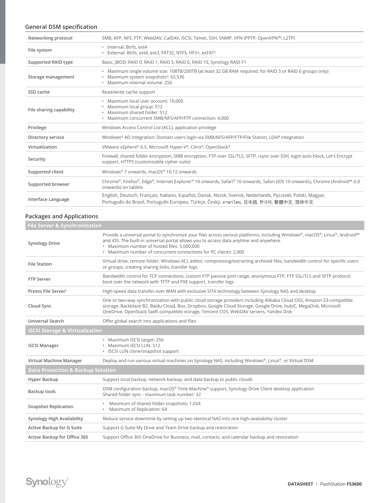#### **General DSM specification**

| Networking protocol     | SMB, AFP, NFS, FTP, WebDAV, CalDAV, iSCSI, Telnet, SSH, SNMP, VPN (PPTP, OpenVPN™, L2TP)                                                                                                          |
|-------------------------|---------------------------------------------------------------------------------------------------------------------------------------------------------------------------------------------------|
| File system             | · Internal: Btrfs, ext4<br>· External: Btrfs, ext4, ext3, FAT32, NTFS, HFS+, exFAT <sup>3</sup>                                                                                                   |
| Supported RAID type     | Basic, JBOD, RAID 0, RAID 1, RAID 5, RAID 6, RAID 10, Synology RAID F1                                                                                                                            |
| Storage management      | . Maximum single volume size: 108TB/200TB (at least 32 GB RAM required, for RAID 5 or RAID 6 groups only)<br>• Maximum system snapshots <sup>4</sup> : 65,536<br>· Maximum internal volume: 256   |
| SSD cache               | Read/write cache support                                                                                                                                                                          |
| File sharing capability | · Maximum local user account: 16,000<br>· Maximum local group: 512<br>· Maximum shared folder: 512<br>• Maximum concurrent SMB/NFS/AFP/FTP connection: 4,000                                      |
| Privilege               | Windows Access Control List (ACL), application privilege                                                                                                                                          |
| Directory service       | Windows® AD integration: Domain users login via SMB/NFS/AFP/FTP/File Station, LDAP integration                                                                                                    |
| Virtualization          | VMware vSphere® 6.5, Microsoft Hyper-V®, Citrix®, OpenStack®                                                                                                                                      |
| Security                | Firewall, shared folder encryption, SMB encryption, FTP over SSL/TLS, SFTP, rsync over SSH, login auto block, Let's Encrypt<br>support, HTTPS (customizable cipher suite)                         |
| Supported client        | Windows <sup>®</sup> 7 onwards, macOS® 10.12 onwards                                                                                                                                              |
| Supported browser       | Chrome®, Firefox®, Edge®, Internet Explorer® 10 onwards, Safari® 10 onwards, Safari (iOS 10 onwards), Chrome (Android™ 6.0<br>onwards) on tablets                                                 |
| Interface Language      | English, Deutsch, Français, Italiano, Español, Dansk, Norsk, Svensk, Nederlands, Русский, Polski, Magyar,<br>Português do Brasil, Português Europeu, Türkçe, Český, ภาษาไทย, 日本語, 한국어, 繁體中文, 简体中文 |

#### **Packages and Applications**

| <b>File Server &amp; Synchronization</b>     |                                                                                                                                                                                                                                                                                                                                          |  |
|----------------------------------------------|------------------------------------------------------------------------------------------------------------------------------------------------------------------------------------------------------------------------------------------------------------------------------------------------------------------------------------------|--|
| <b>Synology Drive</b>                        | Provide a universal portal to synchronize your files across various platforms, including Windows®, macOS®, Linux®, Android™<br>and iOS. The built-in universal portal allows you to access data anytime and anywhere.<br>· Maximum number of hosted files: 5,000,000<br>• Maximum number of concurrent connections for PC clients: 2,000 |  |
| <b>File Station</b>                          | Virtual drive, remote folder, Windows ACL editor, compressing/extracting archived files, bandwidth control for specific users<br>or groups, creating sharing links, transfer logs                                                                                                                                                        |  |
| <b>FTP Server</b>                            | Bandwidth control for TCP connections, custom FTP passive port range, anonymous FTP, FTP SSL/TLS and SFTP protocol,<br>boot over the network with TFTP and PXE support, transfer logs                                                                                                                                                    |  |
| Presto File Server <sup>5</sup>              | High-speed data transfer over WAN with exclusive SITA technology between Synology NAS and desktop                                                                                                                                                                                                                                        |  |
| Cloud Sync                                   | One or two-way synchronization with public cloud storage providers including Alibaba Cloud OSS, Amazon S3-compatible<br>storage, Backblaze B2, Baidu Cloud, Box, Dropbox, Google Cloud Storage, Google Drive, hubiC, MegaDisk, Microsoft<br>OneDrive, OpenStack Swift-compatible storage, Tencent COS, WebDAV servers, Yandex Disk       |  |
| Universal Search                             | Offer global search into applications and files                                                                                                                                                                                                                                                                                          |  |
| <b>iSCSI Storage &amp; Virtualization</b>    |                                                                                                                                                                                                                                                                                                                                          |  |
| <b>iSCSI Manager</b>                         | · Maximum iSCSI target: 256<br>· Maximum iSCSI LUN: 512<br>• iSCSI LUN clone/snapshot support                                                                                                                                                                                                                                            |  |
| Virtual Machine Manager                      | Deploy and run various virtual machines on Synology NAS, including Windows®, Linux®, or Virtual DSM                                                                                                                                                                                                                                      |  |
| <b>Data Protection &amp; Backup Solution</b> |                                                                                                                                                                                                                                                                                                                                          |  |
| Hyper Backup                                 | Support local backup, network backup, and data backup to public clouds                                                                                                                                                                                                                                                                   |  |
| <b>Backup tools</b>                          | DSM configuration backup, macOS® Time Machine® support, Synology Drive Client desktop application<br>Shared folder sync - maximum task number: 32                                                                                                                                                                                        |  |
| <b>Snapshot Replication</b>                  | Maximum of shared folder snapshots: 1,024<br>$\bullet$<br>Maximum of Replication: 64<br>$\bullet$                                                                                                                                                                                                                                        |  |
| Synology High Availability                   | Reduce service downtime by setting up two identical NAS into one high-availability cluster                                                                                                                                                                                                                                               |  |
| Active Backup for G Suite                    | Support G Suite My Drive and Team Drive backup and restoration                                                                                                                                                                                                                                                                           |  |
| Active Backup for Office 365                 | Support Office 365 OneDrive for Business, mail, contacts, and calendar backup and restoration                                                                                                                                                                                                                                            |  |
|                                              |                                                                                                                                                                                                                                                                                                                                          |  |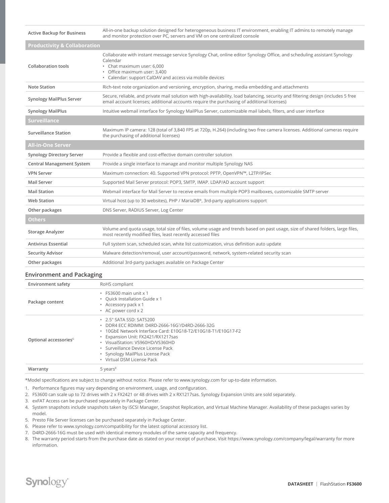| <b>Active Backup for Business</b>       | All-in-one backup solution designed for heterogeneous business IT environment, enabling IT admins to remotely manage<br>and monitor protection over PC, servers and VM on one centralized console                                                              |
|-----------------------------------------|----------------------------------------------------------------------------------------------------------------------------------------------------------------------------------------------------------------------------------------------------------------|
| <b>Productivity &amp; Collaboration</b> |                                                                                                                                                                                                                                                                |
| <b>Collaboration tools</b>              | Collaborate with instant message service Synology Chat, online editor Synology Office, and scheduling assistant Synology<br>Calendar<br>• Chat maximum user: 6,000<br>· Office maximum user: 3,400<br>• Calendar: support CalDAV and access via mobile devices |
| <b>Note Station</b>                     | Rich-text note organization and versioning, encryption, sharing, media embedding and attachments                                                                                                                                                               |
| <b>Synology MailPlus Server</b>         | Secure, reliable, and private mail solution with high-availability, load balancing, security and filtering design (includes 5 free<br>email account licenses; additional accounts require the purchasing of additional licenses)                               |
| <b>Synology MailPlus</b>                | Intuitive webmail interface for Synology MailPlus Server, customizable mail labels, filters, and user interface                                                                                                                                                |
| <b>Surveillance</b>                     |                                                                                                                                                                                                                                                                |
| <b>Surveillance Station</b>             | Maximum IP camera: 128 (total of 3,840 FPS at 720p, H.264) (including two free camera licenses. Additional cameras require<br>the purchasing of additional licenses)                                                                                           |
| <b>All-in-One Server</b>                |                                                                                                                                                                                                                                                                |
| Synology Directory Server               | Provide a flexible and cost-effective domain controller solution                                                                                                                                                                                               |
| <b>Central Management System</b>        | Provide a single interface to manage and monitor multiple Synology NAS                                                                                                                                                                                         |
| <b>VPN Server</b>                       | Maximum connection: 40. Supported VPN protocol: PPTP, OpenVPN™, L2TP/IPSec                                                                                                                                                                                     |
| Mail Server                             | Supported Mail Server protocol: POP3, SMTP, IMAP. LDAP/AD account support                                                                                                                                                                                      |
| <b>Mail Station</b>                     | Webmail interface for Mail Server to receive emails from multiple POP3 mailboxes, customizable SMTP server                                                                                                                                                     |
| <b>Web Station</b>                      | Virtual host (up to 30 websites), PHP / MariaDB®, 3rd-party applications support                                                                                                                                                                               |
| Other packages                          | DNS Server, RADIUS Server, Log Center                                                                                                                                                                                                                          |
| <b>Others</b>                           |                                                                                                                                                                                                                                                                |
| <b>Storage Analyzer</b>                 | Volume and quota usage, total size of files, volume usage and trends based on past usage, size of shared folders, large files,<br>most recently modified files, least recently accessed files                                                                  |
| <b>Antivirus Essential</b>              | Full system scan, scheduled scan, white list customization, virus definition auto update                                                                                                                                                                       |
| <b>Security Advisor</b>                 | Malware detection/removal, user account/password, network, system-related security scan                                                                                                                                                                        |
| Other packages                          | Additional 3rd-party packages available on Package Center                                                                                                                                                                                                      |

#### **Environment and Packaging**

| <b>Environment safety</b>         | RoHS compliant                                                                                                                                                                                                                                                                                                              |
|-----------------------------------|-----------------------------------------------------------------------------------------------------------------------------------------------------------------------------------------------------------------------------------------------------------------------------------------------------------------------------|
| Package content                   | $\cdot$ FS3600 main unit x 1<br>• Quick Installation Guide x 1<br>Accessory pack x 1<br>• AC power cord x 2                                                                                                                                                                                                                 |
| Optional accessories <sup>6</sup> | • 2.5" SATA SSD: SAT5200<br>DDR4 ECC RDIMM: D4RD-2666-16G7/D4RD-2666-32G<br>. 10GbE Network Interface Card: E10G18-T2/E10G18-T1/E10G17-F2<br>• Expansion Unit: FX2421/RX1217sas<br>• VisualStation: VS960HD/VS360HD<br>· Surveillance Device License Pack<br>• Synology MailPlus License Pack<br>· Virtual DSM License Pack |
| Warranty                          | $5$ years $8$                                                                                                                                                                                                                                                                                                               |

\*Model specifications are subject to change without notice. Please refer to www.synology.com for up-to-date information.

1. Performance figures may vary depending on environment, usage, and configuration.

- 2. FS3600 can scale up to 72 drives with 2 x FX2421 or 48 drives with 2 x RX1217sas. Synology Expansion Units are sold separately.
- 3. exFAT Access can be purchased separately in Package Center.
- 4. System snapshots include snapshots taken by iSCSI Manager, Snapshot Replication, and Virtual Machine Manager. Availability of these packages varies by model.
- 5. Presto File Server licenses can be purchased separately in Package Center.
- 6. Please refer to www.synology.com/compatibility for the latest optional accessory list.
- 7. D4RD-2666-16G must be used with identical memory modules of the same capacity and frequency.

8. The warranty period starts from the purchase date as stated on your receipt of purchase. Visit https://www.synology.com/company/legal/warranty for more information.